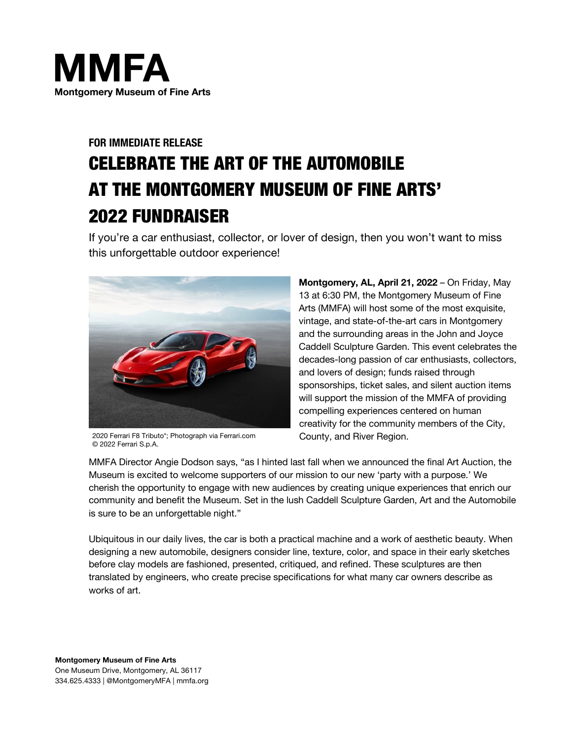

# **FOR IMMEDIATE RELEASE** CELEBRATE THE ART OF THE AUTOMOBILE AT THE MONTGOMERY MUSEUM OF FINE ARTS' 2022 FUNDRAISER

If you're a car enthusiast, collector, or lover of design, then you won't want to miss this unforgettable outdoor experience!



2020 Ferrari F8 Tributo\*; Photograph via Ferrari.com © 2022 Ferrari S.p.A.

**Montgomery, AL, April 21, 2022** – On Friday, May 13 at 6:30 PM, the Montgomery Museum of Fine Arts (MMFA) will host some of the most exquisite, vintage, and state-of-the-art cars in Montgomery and the surrounding areas in the John and Joyce Caddell Sculpture Garden. This event celebrates the decades-long passion of car enthusiasts, collectors, and lovers of design; funds raised through sponsorships, ticket sales, and silent auction items will support the mission of the MMFA of providing compelling experiences centered on human creativity for the community members of the City, County, and River Region.

MMFA Director Angie Dodson says, "as I hinted last fall when we announced the final Art Auction, the Museum is excited to welcome supporters of our mission to our new 'party with a purpose.' We cherish the opportunity to engage with new audiences by creating unique experiences that enrich our community and benefit the Museum. Set in the lush Caddell Sculpture Garden, Art and the Automobile is sure to be an unforgettable night."

Ubiquitous in our daily lives, the car is both a practical machine and a work of aesthetic beauty. When designing a new automobile, designers consider line, texture, color, and space in their early sketches before clay models are fashioned, presented, critiqued, and refined. These sculptures are then translated by engineers, who create precise specifications for what many car owners describe as works of art.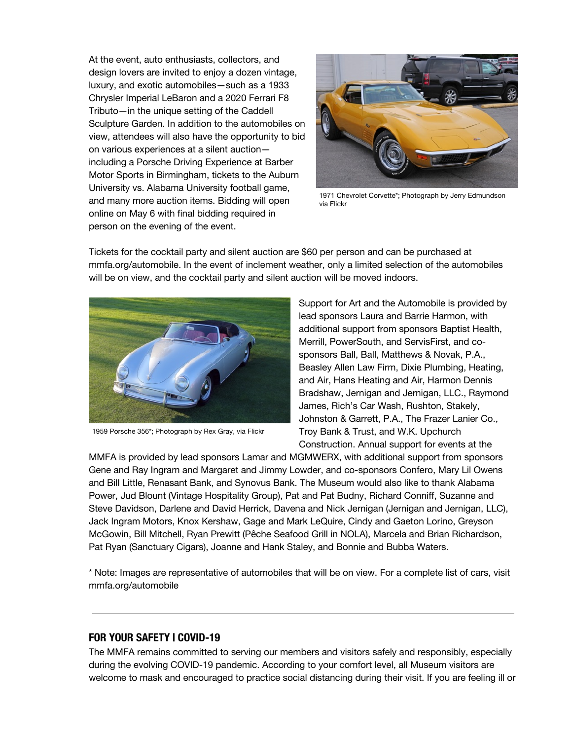At the event, auto enthusiasts, collectors, and design lovers are invited to enjoy a dozen vintage, luxury, and exotic automobiles—such as a 1933 Chrysler Imperial LeBaron and a 2020 Ferrari F8 Tributo—in the unique setting of the Caddell Sculpture Garden. In addition to the automobiles on view, attendees will also have the opportunity to bid on various experiences at a silent auction including a Porsche Driving Experience at Barber Motor Sports in Birmingham, tickets to the Auburn University vs. Alabama University football game, and many more auction items. Bidding will open online on May 6 with final bidding required in person on the evening of the event.



1971 Chevrolet Corvette\*; Photograph by Jerry Edmundson via Flickr

Tickets for the cocktail party and silent auction are \$60 per person and can be purchased at mmfa.org/automobile. In the event of inclement weather, only a limited selection of the automobiles will be on view, and the cocktail party and silent auction will be moved indoors.



1959 Porsche 356\*; Photograph by Rex Gray, via Flickr

Support for Art and the Automobile is provided by lead sponsors Laura and Barrie Harmon, with additional support from sponsors Baptist Health, Merrill, PowerSouth, and ServisFirst, and cosponsors Ball, Ball, Matthews & Novak, P.A., Beasley Allen Law Firm, Dixie Plumbing, Heating, and Air, Hans Heating and Air, Harmon Dennis Bradshaw, Jernigan and Jernigan, LLC., Raymond James, Rich's Car Wash, Rushton, Stakely, Johnston & Garrett, P.A., The Frazer Lanier Co., Troy Bank & Trust, and W.K. Upchurch Construction. Annual support for events at the

MMFA is provided by lead sponsors Lamar and MGMWERX, with additional support from sponsors Gene and Ray Ingram and Margaret and Jimmy Lowder, and co-sponsors Confero, Mary Lil Owens and Bill Little, Renasant Bank, and Synovus Bank. The Museum would also like to thank Alabama Power, Jud Blount (Vintage Hospitality Group), Pat and Pat Budny, Richard Conniff, Suzanne and Steve Davidson, Darlene and David Herrick, Davena and Nick Jernigan (Jernigan and Jernigan, LLC), Jack Ingram Motors, Knox Kershaw, Gage and Mark LeQuire, Cindy and Gaeton Lorino, Greyson McGowin, Bill Mitchell, Ryan Prewitt (Pêche Seafood Grill in NOLA), Marcela and Brian Richardson, Pat Ryan (Sanctuary Cigars), Joanne and Hank Staley, and Bonnie and Bubba Waters.

\* Note: Images are representative of automobiles that will be on view. For a complete list of cars, visit mmfa.org/automobile

#### **FOR YOUR SAFETY | COVID-19**

The MMFA remains committed to serving our members and visitors safely and responsibly, especially during the evolving COVID-19 pandemic. According to your comfort level, all Museum visitors are welcome to mask and encouraged to practice social distancing during their visit. If you are feeling ill or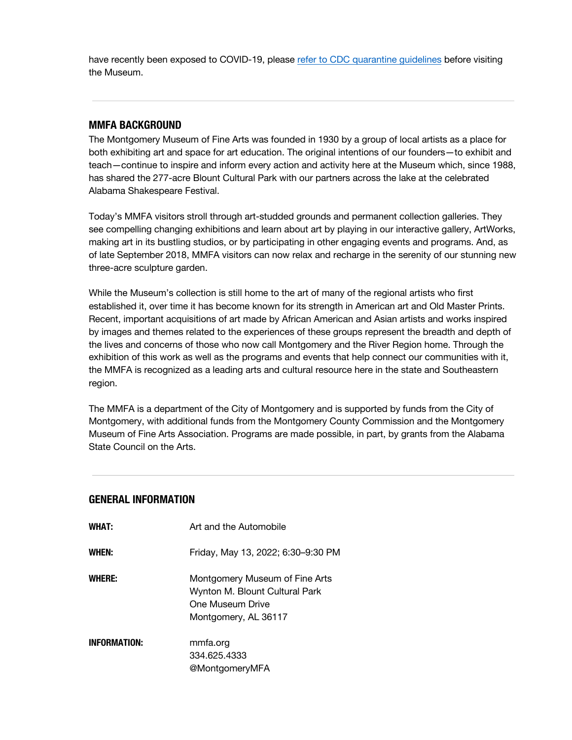have recently been exposed to COVID-19, please refer to CDC quarantine quidelines before visiting the Museum.

### **MMFA BACKGROUND**

The Montgomery Museum of Fine Arts was founded in 1930 by a group of local artists as a place for both exhibiting art and space for art education. The original intentions of our founders—to exhibit and teach—continue to inspire and inform every action and activity here at the Museum which, since 1988, has shared the 277-acre Blount Cultural Park with our partners across the lake at the celebrated Alabama Shakespeare Festival.

Today's MMFA visitors stroll through art-studded grounds and permanent collection galleries. They see compelling changing exhibitions and learn about art by playing in our interactive gallery, ArtWorks, making art in its bustling studios, or by participating in other engaging events and programs. And, as of late September 2018, MMFA visitors can now relax and recharge in the serenity of our stunning new three-acre sculpture garden.

While the Museum's collection is still home to the art of many of the regional artists who first established it, over time it has become known for its strength in American art and Old Master Prints. Recent, important acquisitions of art made by African American and Asian artists and works inspired by images and themes related to the experiences of these groups represent the breadth and depth of the lives and concerns of those who now call Montgomery and the River Region home. Through the exhibition of this work as well as the programs and events that help connect our communities with it, the MMFA is recognized as a leading arts and cultural resource here in the state and Southeastern region.

The MMFA is a department of the City of Montgomery and is supported by funds from the City of Montgomery, with additional funds from the Montgomery County Commission and the Montgomery Museum of Fine Arts Association. Programs are made possible, in part, by grants from the Alabama State Council on the Arts.

#### **GENERAL INFORMATION**

| WHAT:               | Art and the Automobile                                                                                       |
|---------------------|--------------------------------------------------------------------------------------------------------------|
| WHEN:               | Friday, May 13, 2022; 6:30-9:30 PM                                                                           |
| <b>WHERE:</b>       | Montgomery Museum of Fine Arts<br>Wynton M. Blount Cultural Park<br>One Museum Drive<br>Montgomery, AL 36117 |
| <b>INFORMATION:</b> | mmfa.org<br>334.625.4333<br>@MontgomeryMFA                                                                   |